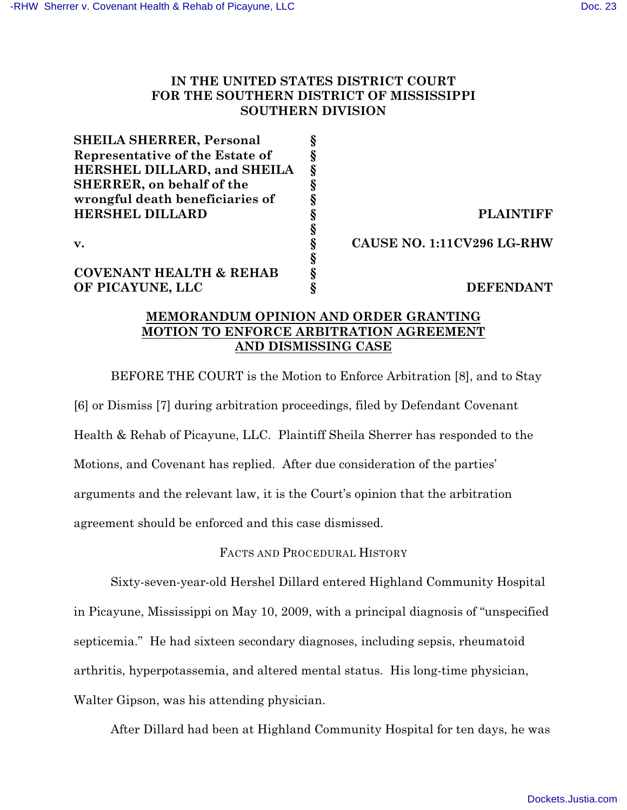# **IN THE UNITED STATES DISTRICT COURT FOR THE SOUTHERN DISTRICT OF MISSISSIPPI SOUTHERN DIVISION**

| <b>PLAINTIFF</b>           |
|----------------------------|
|                            |
| CAUSE NO. 1:11CV296 LG-RHW |
|                            |
|                            |
| <b>DEFENDANT</b>           |
|                            |

# **MEMORANDUM OPINION AND ORDER GRANTING MOTION TO ENFORCE ARBITRATION AGREEMENT AND DISMISSING CASE**

BEFORE THE COURT is the Motion to Enforce Arbitration [8], and to Stay [6] or Dismiss [7] during arbitration proceedings, filed by Defendant Covenant Health & Rehab of Picayune, LLC. Plaintiff Sheila Sherrer has responded to the Motions, and Covenant has replied. After due consideration of the parties' arguments and the relevant law, it is the Court's opinion that the arbitration agreement should be enforced and this case dismissed.

FACTS AND PROCEDURAL HISTORY

Sixty-seven-year-old Hershel Dillard entered Highland Community Hospital in Picayune, Mississippi on May 10, 2009, with a principal diagnosis of "unspecified septicemia." He had sixteen secondary diagnoses, including sepsis, rheumatoid arthritis, hyperpotassemia, and altered mental status. His long-time physician, Walter Gipson, was his attending physician.

After Dillard had been at Highland Community Hospital for ten days, he was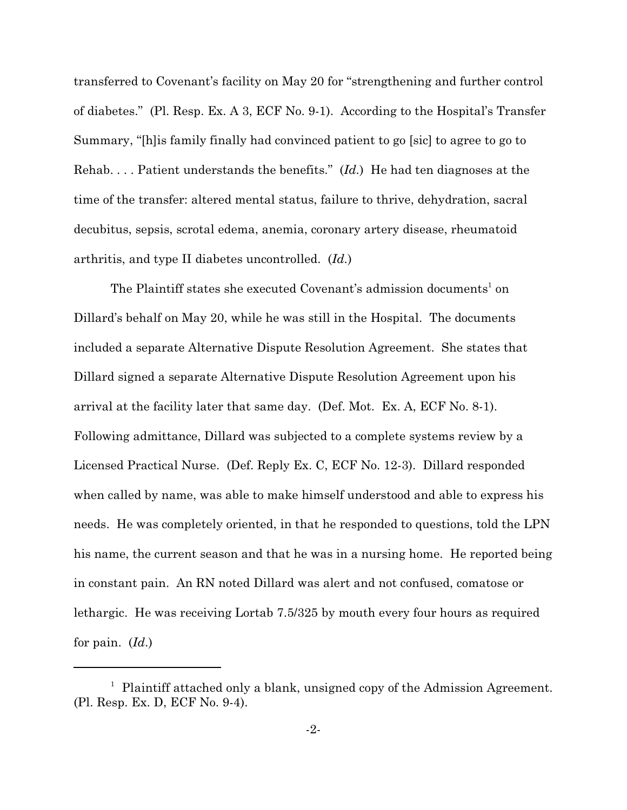transferred to Covenant's facility on May 20 for "strengthening and further control of diabetes." (Pl. Resp. Ex. A 3, ECF No. 9-1). According to the Hospital's Transfer Summary, "[h]is family finally had convinced patient to go [sic] to agree to go to Rehab. . . . Patient understands the benefits." (*Id.*) He had ten diagnoses at the time of the transfer: altered mental status, failure to thrive, dehydration, sacral decubitus, sepsis, scrotal edema, anemia, coronary artery disease, rheumatoid arthritis, and type II diabetes uncontrolled. (*Id.*)

The Plaintiff states she executed Covenant's admission documents<sup>1</sup> on Dillard's behalf on May 20, while he was still in the Hospital. The documents included a separate Alternative Dispute Resolution Agreement. She states that Dillard signed a separate Alternative Dispute Resolution Agreement upon his arrival at the facility later that same day. (Def. Mot. Ex. A, ECF No. 8-1). Following admittance, Dillard was subjected to a complete systems review by a Licensed Practical Nurse. (Def. Reply Ex. C, ECF No. 12-3). Dillard responded when called by name, was able to make himself understood and able to express his needs. He was completely oriented, in that he responded to questions, told the LPN his name, the current season and that he was in a nursing home. He reported being in constant pain. An RN noted Dillard was alert and not confused, comatose or lethargic. He was receiving Lortab 7.5/325 by mouth every four hours as required for pain. (*Id*.)

 $^1$  Plaintiff attached only a blank, unsigned copy of the Admission Agreement. (Pl. Resp. Ex. D, ECF No. 9-4).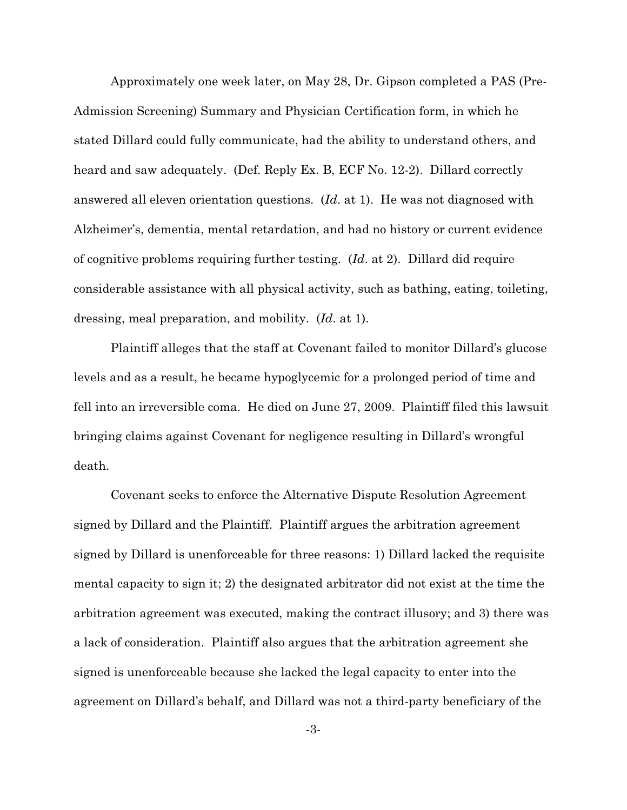Approximately one week later, on May 28, Dr. Gipson completed a PAS (Pre-Admission Screening) Summary and Physician Certification form, in which he stated Dillard could fully communicate, had the ability to understand others, and heard and saw adequately. (Def. Reply Ex. B, ECF No. 12-2). Dillard correctly answered all eleven orientation questions. (*Id*. at 1). He was not diagnosed with Alzheimer's, dementia, mental retardation, and had no history or current evidence of cognitive problems requiring further testing. (*Id*. at 2). Dillard did require considerable assistance with all physical activity, such as bathing, eating, toileting, dressing, meal preparation, and mobility. (*Id*. at 1).

Plaintiff alleges that the staff at Covenant failed to monitor Dillard's glucose levels and as a result, he became hypoglycemic for a prolonged period of time and fell into an irreversible coma. He died on June 27, 2009. Plaintiff filed this lawsuit bringing claims against Covenant for negligence resulting in Dillard's wrongful death.

Covenant seeks to enforce the Alternative Dispute Resolution Agreement signed by Dillard and the Plaintiff. Plaintiff argues the arbitration agreement signed by Dillard is unenforceable for three reasons: 1) Dillard lacked the requisite mental capacity to sign it; 2) the designated arbitrator did not exist at the time the arbitration agreement was executed, making the contract illusory; and 3) there was a lack of consideration. Plaintiff also argues that the arbitration agreement she signed is unenforceable because she lacked the legal capacity to enter into the agreement on Dillard's behalf, and Dillard was not a third-party beneficiary of the

-3-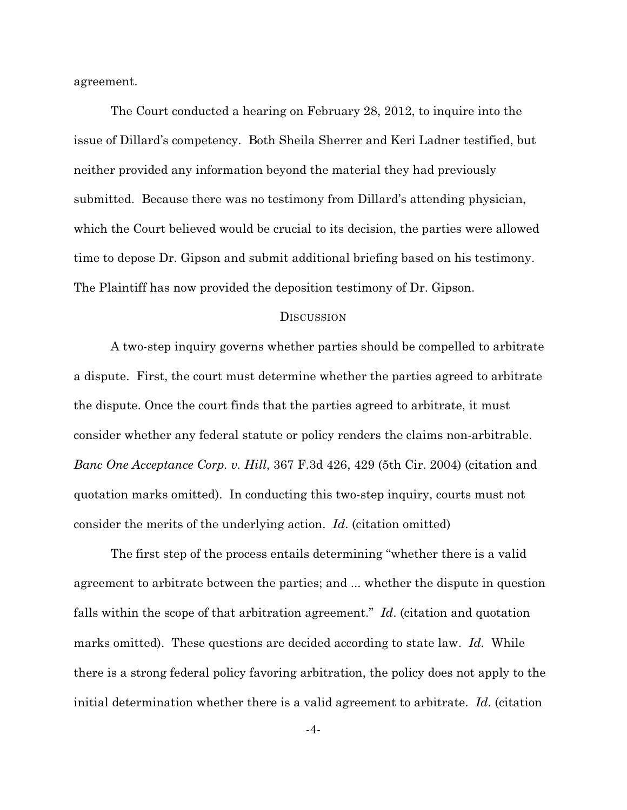agreement.

The Court conducted a hearing on February 28, 2012, to inquire into the issue of Dillard's competency. Both Sheila Sherrer and Keri Ladner testified, but neither provided any information beyond the material they had previously submitted. Because there was no testimony from Dillard's attending physician, which the Court believed would be crucial to its decision, the parties were allowed time to depose Dr. Gipson and submit additional briefing based on his testimony. The Plaintiff has now provided the deposition testimony of Dr. Gipson.

## **DISCUSSION**

A two-step inquiry governs whether parties should be compelled to arbitrate a dispute. First, the court must determine whether the parties agreed to arbitrate the dispute. Once the court finds that the parties agreed to arbitrate, it must consider whether any federal statute or policy renders the claims non-arbitrable. *Banc One Acceptance Corp. v. Hill*, 367 F.3d 426, 429 (5th Cir. 2004) (citation and quotation marks omitted). In conducting this two-step inquiry, courts must not consider the merits of the underlying action. *Id*. (citation omitted)

The first step of the process entails determining "whether there is a valid agreement to arbitrate between the parties; and ... whether the dispute in question falls within the scope of that arbitration agreement." *Id*. (citation and quotation marks omitted). These questions are decided according to state law. *Id.* While there is a strong federal policy favoring arbitration, the policy does not apply to the initial determination whether there is a valid agreement to arbitrate. *Id*. (citation

-4-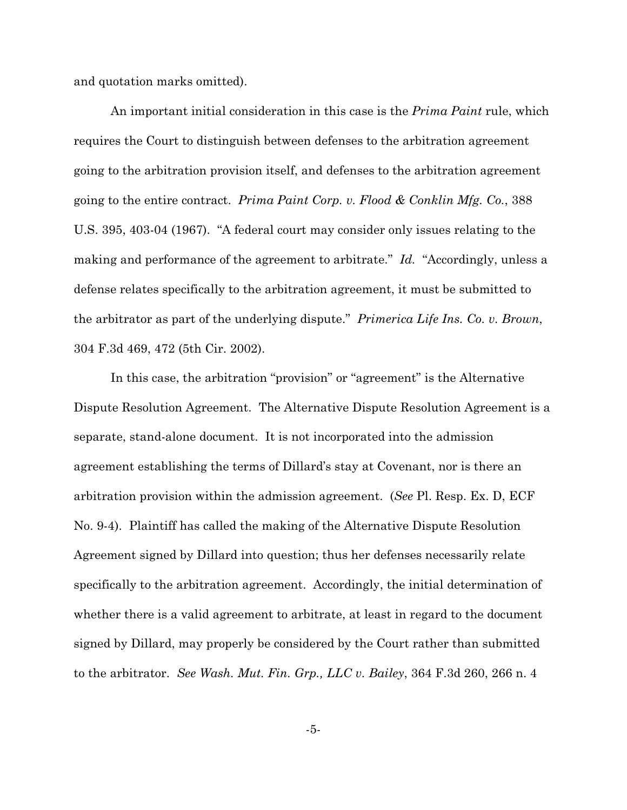and quotation marks omitted).

An important initial consideration in this case is the *Prima Paint* rule, which requires the Court to distinguish between defenses to the arbitration agreement going to the arbitration provision itself, and defenses to the arbitration agreement going to the entire contract. *Prima Paint Corp. v. Flood & Conklin Mfg. Co.*, 388 U.S. 395, 403-04 (1967). "A federal court may consider only issues relating to the making and performance of the agreement to arbitrate." *Id.* "Accordingly, unless a defense relates specifically to the arbitration agreement, it must be submitted to the arbitrator as part of the underlying dispute." *Primerica Life Ins. Co. v. Brown*, 304 F.3d 469, 472 (5th Cir. 2002).

In this case, the arbitration "provision" or "agreement" is the Alternative Dispute Resolution Agreement. The Alternative Dispute Resolution Agreement is a separate, stand-alone document. It is not incorporated into the admission agreement establishing the terms of Dillard's stay at Covenant, nor is there an arbitration provision within the admission agreement. (*See* Pl. Resp. Ex. D, ECF No. 9-4). Plaintiff has called the making of the Alternative Dispute Resolution Agreement signed by Dillard into question; thus her defenses necessarily relate specifically to the arbitration agreement. Accordingly, the initial determination of whether there is a valid agreement to arbitrate, at least in regard to the document signed by Dillard, may properly be considered by the Court rather than submitted to the arbitrator. *See Wash. Mut. Fin. Grp., LLC v. Bailey*, 364 F.3d 260, 266 n. 4

-5-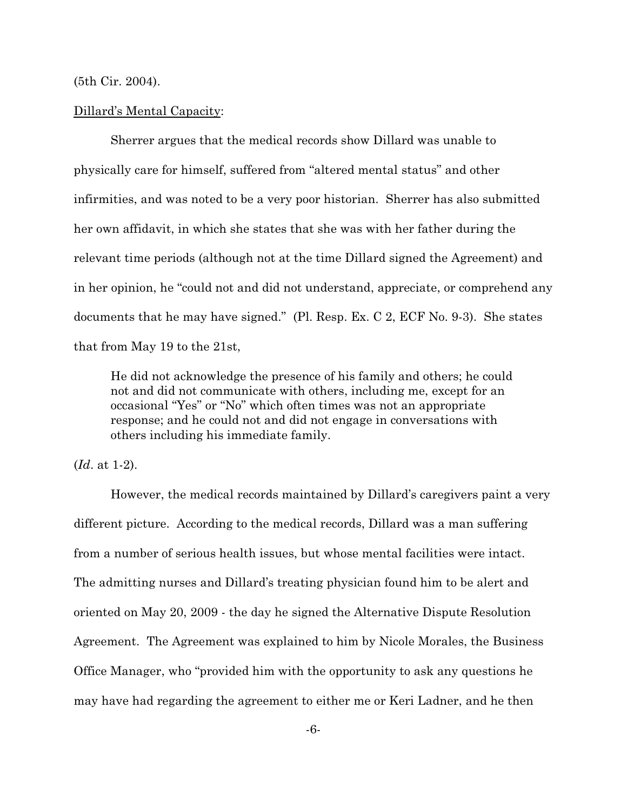(5th Cir. 2004).

#### Dillard's Mental Capacity:

Sherrer argues that the medical records show Dillard was unable to physically care for himself, suffered from "altered mental status" and other infirmities, and was noted to be a very poor historian. Sherrer has also submitted her own affidavit, in which she states that she was with her father during the relevant time periods (although not at the time Dillard signed the Agreement) and in her opinion, he "could not and did not understand, appreciate, or comprehend any documents that he may have signed." (Pl. Resp. Ex. C 2, ECF No. 9-3). She states that from May 19 to the 21st,

He did not acknowledge the presence of his family and others; he could not and did not communicate with others, including me, except for an occasional "Yes" or "No" which often times was not an appropriate response; and he could not and did not engage in conversations with others including his immediate family.

(*Id*. at 1-2).

However, the medical records maintained by Dillard's caregivers paint a very different picture. According to the medical records, Dillard was a man suffering from a number of serious health issues, but whose mental facilities were intact. The admitting nurses and Dillard's treating physician found him to be alert and oriented on May 20, 2009 - the day he signed the Alternative Dispute Resolution Agreement. The Agreement was explained to him by Nicole Morales, the Business Office Manager, who "provided him with the opportunity to ask any questions he may have had regarding the agreement to either me or Keri Ladner, and he then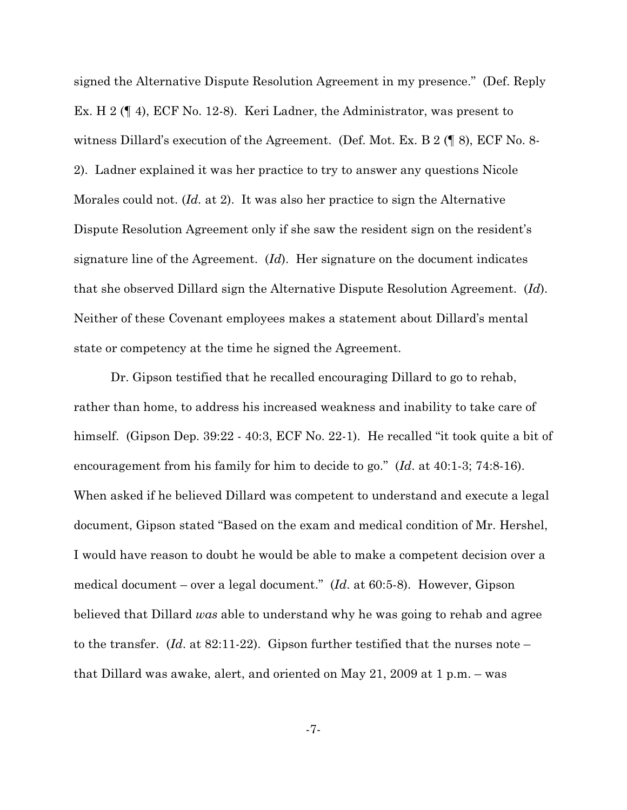signed the Alternative Dispute Resolution Agreement in my presence." (Def. Reply Ex. H 2 (¶ 4), ECF No. 12-8). Keri Ladner, the Administrator, was present to witness Dillard's execution of the Agreement. (Def. Mot. Ex. B 2 (¶ 8), ECF No. 8- 2). Ladner explained it was her practice to try to answer any questions Nicole Morales could not. (*Id.* at 2). It was also her practice to sign the Alternative Dispute Resolution Agreement only if she saw the resident sign on the resident's signature line of the Agreement. (*Id*). Her signature on the document indicates that she observed Dillard sign the Alternative Dispute Resolution Agreement. (*Id*). Neither of these Covenant employees makes a statement about Dillard's mental state or competency at the time he signed the Agreement.

Dr. Gipson testified that he recalled encouraging Dillard to go to rehab, rather than home, to address his increased weakness and inability to take care of himself. (Gipson Dep. 39:22 - 40:3, ECF No. 22-1). He recalled "it took quite a bit of encouragement from his family for him to decide to go." (*Id*. at 40:1-3; 74:8-16). When asked if he believed Dillard was competent to understand and execute a legal document, Gipson stated "Based on the exam and medical condition of Mr. Hershel, I would have reason to doubt he would be able to make a competent decision over a medical document – over a legal document." (*Id*. at 60:5-8). However, Gipson believed that Dillard *was* able to understand why he was going to rehab and agree to the transfer. (*Id*. at 82:11-22). Gipson further testified that the nurses note – that Dillard was awake, alert, and oriented on May 21, 2009 at 1 p.m. – was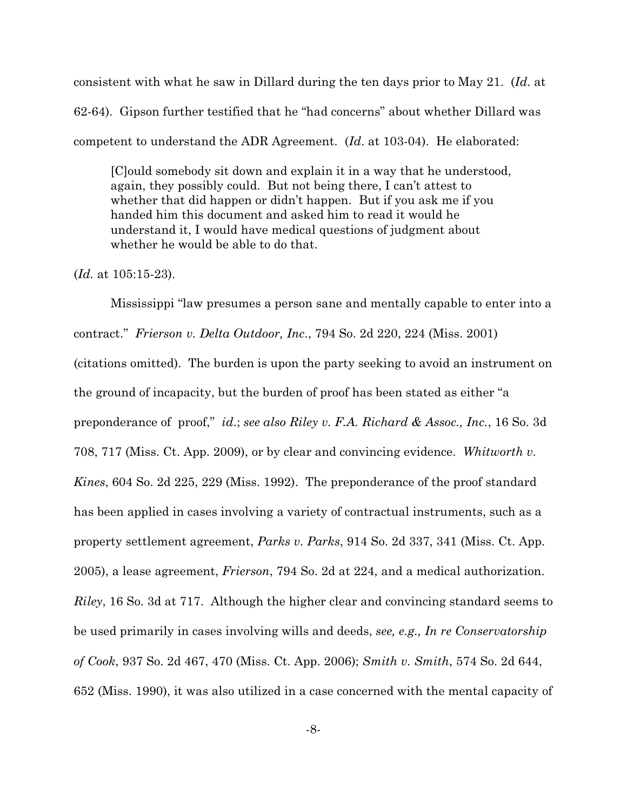consistent with what he saw in Dillard during the ten days prior to May 21. (*Id*. at 62-64). Gipson further testified that he "had concerns" about whether Dillard was competent to understand the ADR Agreement. (*Id*. at 103-04). He elaborated:

[C]ould somebody sit down and explain it in a way that he understood, again, they possibly could. But not being there, I can't attest to whether that did happen or didn't happen. But if you ask me if you handed him this document and asked him to read it would he understand it, I would have medical questions of judgment about whether he would be able to do that.

#### (*Id.* at 105:15-23).

Mississippi "law presumes a person sane and mentally capable to enter into a contract." *Frierson v. Delta Outdoor, Inc*., 794 So. 2d 220, 224 (Miss. 2001) (citations omitted). The burden is upon the party seeking to avoid an instrument on the ground of incapacity, but the burden of proof has been stated as either "a preponderance of proof," *id*.; *see also Riley v. F.A. Richard & Assoc., Inc.*, 16 So. 3d 708, 717 (Miss. Ct. App. 2009), or by clear and convincing evidence. *Whitworth v. Kines*, 604 So. 2d 225, 229 (Miss. 1992). The preponderance of the proof standard has been applied in cases involving a variety of contractual instruments, such as a property settlement agreement, *Parks v. Parks*, 914 So. 2d 337, 341 (Miss. Ct. App. 2005), a lease agreement, *Frierson*, 794 So. 2d at 224, and a medical authorization. *Riley*, 16 So. 3d at 717. Although the higher clear and convincing standard seems to be used primarily in cases involving wills and deeds, *see, e.g., In re Conservatorship of Cook*, 937 So. 2d 467, 470 (Miss. Ct. App. 2006); *Smith v. Smith*, 574 So. 2d 644, 652 (Miss. 1990), it was also utilized in a case concerned with the mental capacity of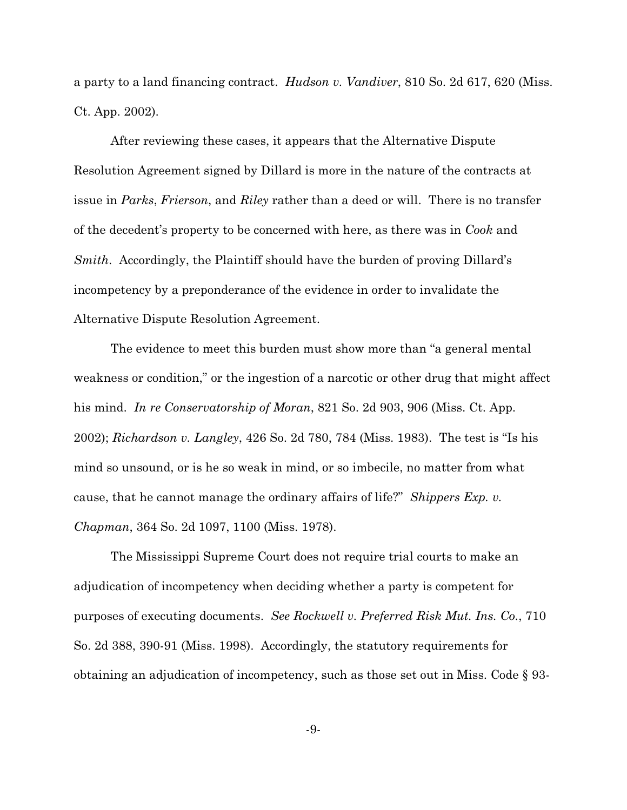a party to a land financing contract. *Hudson v. Vandiver*, 810 So. 2d 617, 620 (Miss. Ct. App. 2002).

After reviewing these cases, it appears that the Alternative Dispute Resolution Agreement signed by Dillard is more in the nature of the contracts at issue in *Parks*, *Frierson*, and *Riley* rather than a deed or will. There is no transfer of the decedent's property to be concerned with here, as there was in *Cook* and *Smith*. Accordingly, the Plaintiff should have the burden of proving Dillard's incompetency by a preponderance of the evidence in order to invalidate the Alternative Dispute Resolution Agreement.

The evidence to meet this burden must show more than "a general mental weakness or condition," or the ingestion of a narcotic or other drug that might affect his mind. *In re Conservatorship of Moran*, 821 So. 2d 903, 906 (Miss. Ct. App. 2002); *Richardson v. Langley*, 426 So. 2d 780, 784 (Miss. 1983). The test is "Is his mind so unsound, or is he so weak in mind, or so imbecile, no matter from what cause, that he cannot manage the ordinary affairs of life?" *Shippers Exp. v. Chapman*, 364 So. 2d 1097, 1100 (Miss. 1978).

The Mississippi Supreme Court does not require trial courts to make an adjudication of incompetency when deciding whether a party is competent for purposes of executing documents. *See Rockwell v. Preferred Risk Mut. Ins. Co.*, 710 So. 2d 388, 390-91 (Miss. 1998). Accordingly, the statutory requirements for obtaining an adjudication of incompetency, such as those set out in Miss. Code § 93-

-9-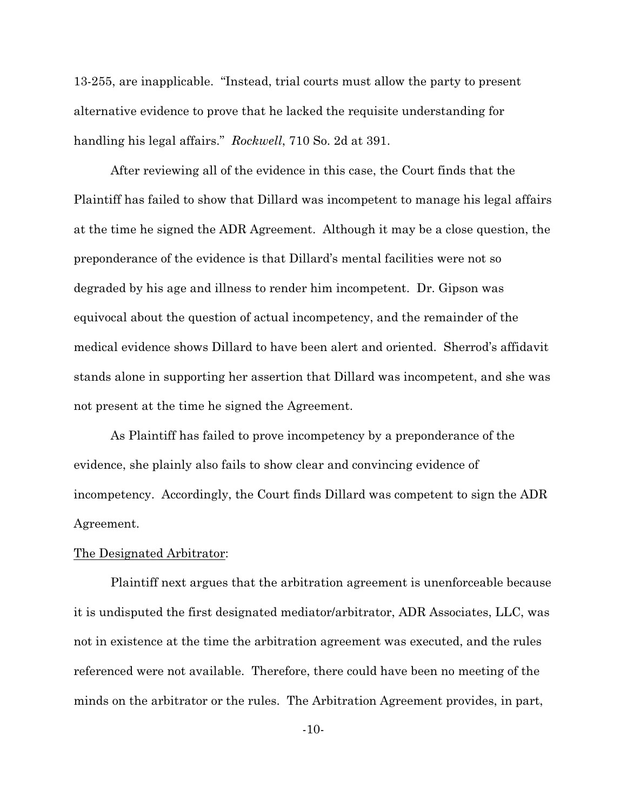13-255, are inapplicable. "Instead, trial courts must allow the party to present alternative evidence to prove that he lacked the requisite understanding for handling his legal affairs." *Rockwell*, 710 So. 2d at 391.

After reviewing all of the evidence in this case, the Court finds that the Plaintiff has failed to show that Dillard was incompetent to manage his legal affairs at the time he signed the ADR Agreement. Although it may be a close question, the preponderance of the evidence is that Dillard's mental facilities were not so degraded by his age and illness to render him incompetent. Dr. Gipson was equivocal about the question of actual incompetency, and the remainder of the medical evidence shows Dillard to have been alert and oriented. Sherrod's affidavit stands alone in supporting her assertion that Dillard was incompetent, and she was not present at the time he signed the Agreement.

As Plaintiff has failed to prove incompetency by a preponderance of the evidence, she plainly also fails to show clear and convincing evidence of incompetency. Accordingly, the Court finds Dillard was competent to sign the ADR Agreement.

### The Designated Arbitrator:

Plaintiff next argues that the arbitration agreement is unenforceable because it is undisputed the first designated mediator/arbitrator, ADR Associates, LLC, was not in existence at the time the arbitration agreement was executed, and the rules referenced were not available. Therefore, there could have been no meeting of the minds on the arbitrator or the rules. The Arbitration Agreement provides, in part,

-10-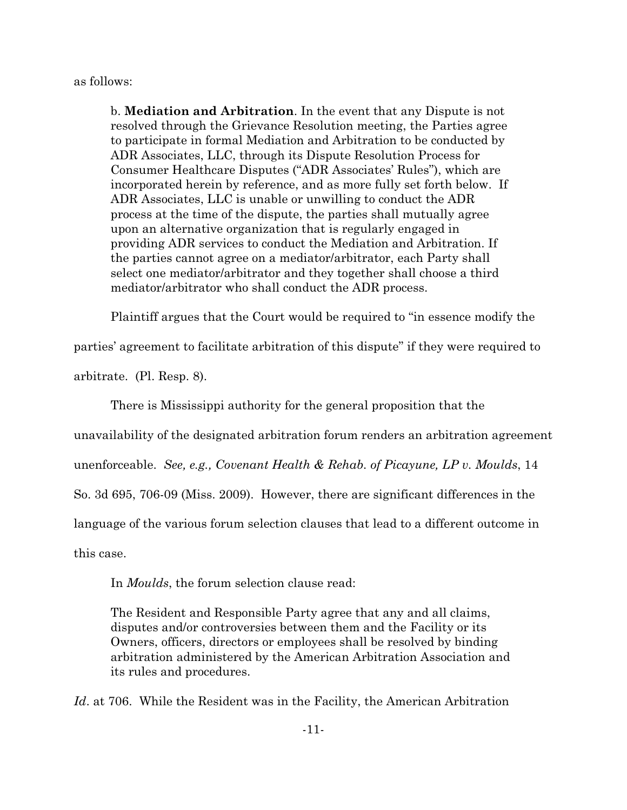as follows:

b. **Mediation and Arbitration**. In the event that any Dispute is not resolved through the Grievance Resolution meeting, the Parties agree to participate in formal Mediation and Arbitration to be conducted by ADR Associates, LLC, through its Dispute Resolution Process for Consumer Healthcare Disputes ("ADR Associates' Rules"), which are incorporated herein by reference, and as more fully set forth below. If ADR Associates, LLC is unable or unwilling to conduct the ADR process at the time of the dispute, the parties shall mutually agree upon an alternative organization that is regularly engaged in providing ADR services to conduct the Mediation and Arbitration. If the parties cannot agree on a mediator/arbitrator, each Party shall select one mediator/arbitrator and they together shall choose a third mediator/arbitrator who shall conduct the ADR process.

Plaintiff argues that the Court would be required to "in essence modify the

parties' agreement to facilitate arbitration of this dispute" if they were required to

arbitrate. (Pl. Resp. 8).

There is Mississippi authority for the general proposition that the

unavailability of the designated arbitration forum renders an arbitration agreement

unenforceable. *See, e.g., Covenant Health & Rehab. of Picayune, LP v. Moulds*, 14

So. 3d 695, 706-09 (Miss. 2009). However, there are significant differences in the

language of the various forum selection clauses that lead to a different outcome in

this case.

In *Moulds*, the forum selection clause read:

The Resident and Responsible Party agree that any and all claims, disputes and/or controversies between them and the Facility or its Owners, officers, directors or employees shall be resolved by binding arbitration administered by the American Arbitration Association and its rules and procedures.

*Id*. at 706. While the Resident was in the Facility, the American Arbitration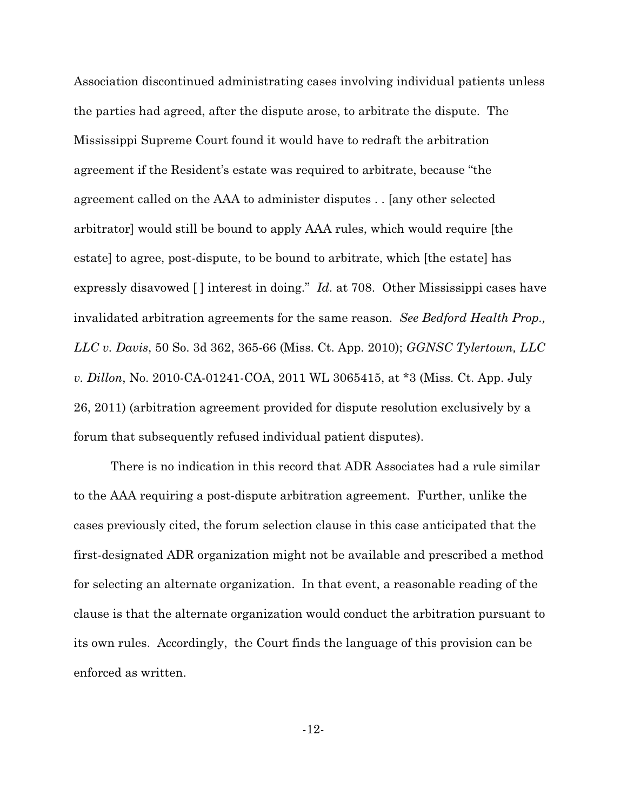Association discontinued administrating cases involving individual patients unless the parties had agreed, after the dispute arose, to arbitrate the dispute. The Mississippi Supreme Court found it would have to redraft the arbitration agreement if the Resident's estate was required to arbitrate, because "the agreement called on the AAA to administer disputes . . [any other selected arbitrator] would still be bound to apply AAA rules, which would require [the estate] to agree, post-dispute, to be bound to arbitrate, which [the estate] has expressly disavowed [ ] interest in doing." *Id*. at 708. Other Mississippi cases have invalidated arbitration agreements for the same reason. *See Bedford Health Prop., LLC v. Davis*, 50 So. 3d 362, 365-66 (Miss. Ct. App. 2010); *GGNSC Tylertown, LLC v. Dillon*, No. 2010-CA-01241-COA, 2011 WL 3065415, at \*3 (Miss. Ct. App. July 26, 2011) (arbitration agreement provided for dispute resolution exclusively by a forum that subsequently refused individual patient disputes).

There is no indication in this record that ADR Associates had a rule similar to the AAA requiring a post-dispute arbitration agreement. Further, unlike the cases previously cited, the forum selection clause in this case anticipated that the first-designated ADR organization might not be available and prescribed a method for selecting an alternate organization. In that event, a reasonable reading of the clause is that the alternate organization would conduct the arbitration pursuant to its own rules. Accordingly, the Court finds the language of this provision can be enforced as written.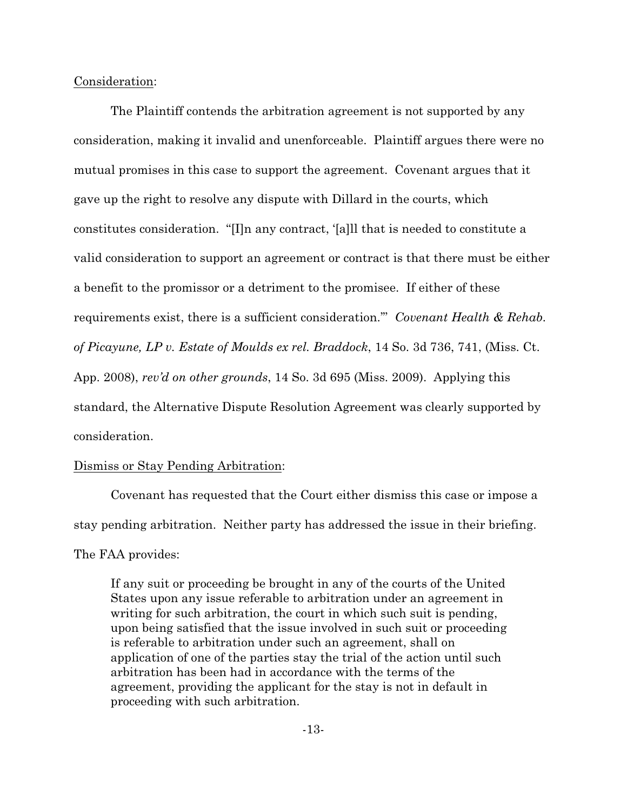Consideration:

The Plaintiff contends the arbitration agreement is not supported by any consideration, making it invalid and unenforceable. Plaintiff argues there were no mutual promises in this case to support the agreement. Covenant argues that it gave up the right to resolve any dispute with Dillard in the courts, which constitutes consideration. "[I]n any contract, '[a]ll that is needed to constitute a valid consideration to support an agreement or contract is that there must be either a benefit to the promissor or a detriment to the promisee. If either of these requirements exist, there is a sufficient consideration.'" *Covenant Health & Rehab. of Picayune, LP v. Estate of Moulds ex rel. Braddock*, 14 So. 3d 736, 741, (Miss. Ct. App. 2008), *rev'd on other grounds*, 14 So. 3d 695 (Miss. 2009). Applying this standard, the Alternative Dispute Resolution Agreement was clearly supported by consideration.

## Dismiss or Stay Pending Arbitration:

Covenant has requested that the Court either dismiss this case or impose a stay pending arbitration. Neither party has addressed the issue in their briefing. The FAA provides:

If any suit or proceeding be brought in any of the courts of the United States upon any issue referable to arbitration under an agreement in writing for such arbitration, the court in which such suit is pending, upon being satisfied that the issue involved in such suit or proceeding is referable to arbitration under such an agreement, shall on application of one of the parties stay the trial of the action until such arbitration has been had in accordance with the terms of the agreement, providing the applicant for the stay is not in default in proceeding with such arbitration.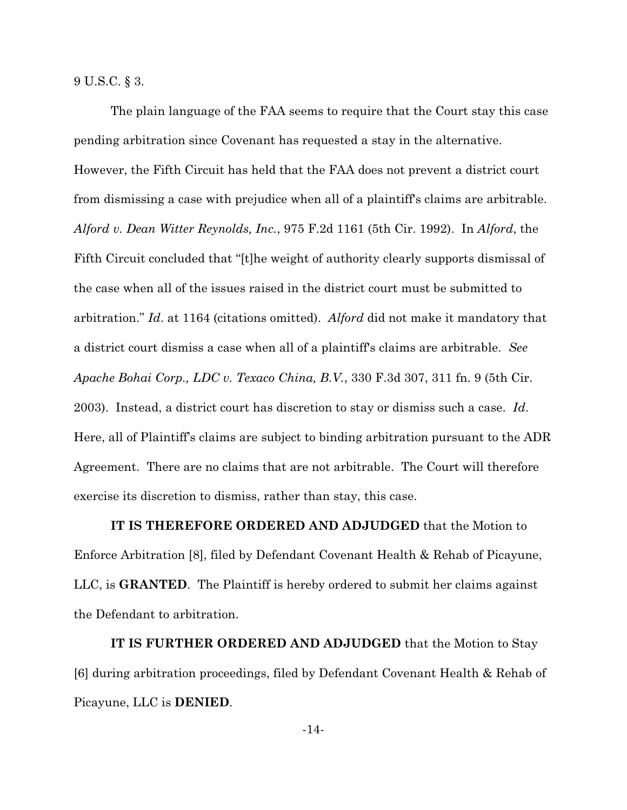9 U.S.C. § 3.

The plain language of the FAA seems to require that the Court stay this case pending arbitration since Covenant has requested a stay in the alternative. However, the Fifth Circuit has held that the FAA does not prevent a district court from dismissing a case with prejudice when all of a plaintiff's claims are arbitrable. *Alford v. Dean Witter Reynolds, Inc.*, 975 F.2d 1161 (5th Cir. 1992). In *Alford*, the Fifth Circuit concluded that "[t]he weight of authority clearly supports dismissal of the case when all of the issues raised in the district court must be submitted to arbitration." *Id*. at 1164 (citations omitted). *Alford* did not make it mandatory that a district court dismiss a case when all of a plaintiff's claims are arbitrable. *See Apache Bohai Corp., LDC v. Texaco China, B.V.*, 330 F.3d 307, 311 fn. 9 (5th Cir. 2003). Instead, a district court has discretion to stay or dismiss such a case. *Id*. Here, all of Plaintiff's claims are subject to binding arbitration pursuant to the ADR Agreement. There are no claims that are not arbitrable. The Court will therefore exercise its discretion to dismiss, rather than stay, this case.

**IT IS THEREFORE ORDERED AND ADJUDGED** that the Motion to Enforce Arbitration [8], filed by Defendant Covenant Health & Rehab of Picayune, LLC, is **GRANTED**. The Plaintiff is hereby ordered to submit her claims against the Defendant to arbitration.

**IT IS FURTHER ORDERED AND ADJUDGED** that the Motion to Stay [6] during arbitration proceedings, filed by Defendant Covenant Health & Rehab of Picayune, LLC is **DENIED**.